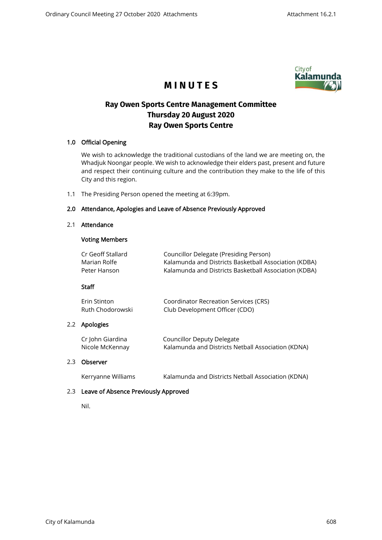

# **M I N U T E S**

## **Ray Owen Sports Centre Management Committee Thursday 20 August 2020 Ray Owen Sports Centre**

## 1.0 Official Opening

We wish to acknowledge the traditional custodians of the land we are meeting on, the Whadjuk Noongar people. We wish to acknowledge their elders past, present and future and respect their continuing culture and the contribution they make to the life of this City and this region.

1.1 The Presiding Person opened the meeting at 6:39pm.

## 2.0 Attendance, Apologies and Leave of Absence Previously Approved

#### 2.1 Attendance

## Voting Members

| Cr Geoff Stallard | Councillor Delegate (Presiding Person)                |
|-------------------|-------------------------------------------------------|
| Marian Rolfe      | Kalamunda and Districts Basketball Association (KDBA) |
| Peter Hanson      | Kalamunda and Districts Basketball Association (KDBA) |

### Staff

| Erin Stinton     | Coordinator Recreation Services (CRS) |
|------------------|---------------------------------------|
| Ruth Chodorowski | Club Development Officer (CDO)        |

### 2.2 Apologies

| Cr John Giardina | Councillor Deputy Delegate                         |
|------------------|----------------------------------------------------|
| Nicole McKennay  | Kalamunda and Districts Netball Association (KDNA) |

### 2.3 Observer

| Kerryanne Williams | Kalamunda and Districts Netball Association (KDNA) |
|--------------------|----------------------------------------------------|
|--------------------|----------------------------------------------------|

### 2.3 Leave of Absence Previously Approved

Nil.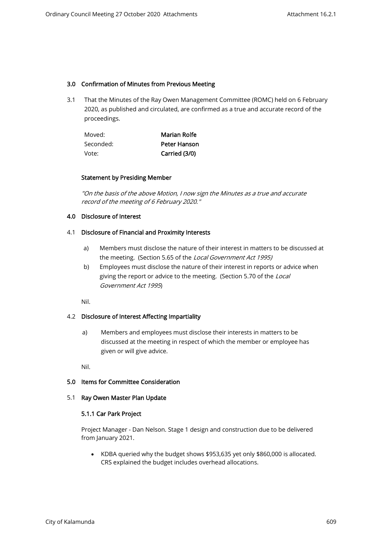## 3.0 Confirmation of Minutes from Previous Meeting

3.1 That the Minutes of the Ray Owen Management Committee (ROMC) held on 6 February 2020, as published and circulated, are confirmed as a true and accurate record of the proceedings.

| Moved:    | Marian Rolfe  |
|-----------|---------------|
| Seconded: | Peter Hanson  |
| Vote:     | Carried (3/0) |

#### Statement by Presiding Member

"On the basis of the above Motion, I now sign the Minutes as a true and accurate record of the meeting of 6 February 2020."

### 4.0 Disclosure of Interest

#### 4.1 Disclosure of Financial and Proximity Interests

- a) Members must disclose the nature of their interest in matters to be discussed at the meeting. (Section 5.65 of the Local Government Act 1995)
- b) Employees must disclose the nature of their interest in reports or advice when giving the report or advice to the meeting. (Section 5.70 of the Local Government Act 1995)

Nil.

### 4.2 Disclosure of Interest Affecting Impartiality

a) Members and employees must disclose their interests in matters to be discussed at the meeting in respect of which the member or employee has given or will give advice.

Nil.

### 5.0 Items for Committee Consideration

#### 5.1 Ray Owen Master Plan Update

### 5.1.1 Car Park Project

Project Manager - Dan Nelson. Stage 1 design and construction due to be delivered from January 2021.

• KDBA queried why the budget shows \$953,635 yet only \$860,000 is allocated. CRS explained the budget includes overhead allocations.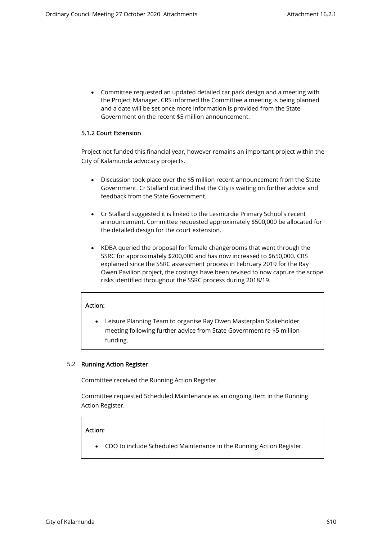• Committee requested an updated detailed car park design and a meeting with the Project Manager. CRS informed the Committee a meeting is being planned and a date will be set once more information is provided from the State Government on the recent \$5 million announcement.

## 5.1.2 Court Extension

Project not funded this financial year, however remains an important project within the City of Kalamunda advocacy projects.

- Discussion took place over the \$5 million recent announcement from the State Government. Cr Stallard outlined that the City is waiting on further advice and feedback from the State Government.
- Cr Stallard suggested it is linked to the Lesmurdie Primary School's recent announcement. Committee requested approximately \$500,000 be allocated for the detailed design for the court extension.
- KDBA queried the proposal for female changerooms that went through the SSRC for approximately \$200,000 and has now increased to \$650,000. CRS explained since the SSRC assessment process in February 2019 for the Ray Owen Pavilion project, the costings have been revised to now capture the scope risks identified throughout the SSRC process during 2018/19.

## Action:

• Leisure Planning Team to organise Ray Owen Masterplan Stakeholder meeting following further advice from State Government re \$5 million funding.

### 5.2 Running Action Register

Committee received the Running Action Register.

 Committee requested Scheduled Maintenance as an ongoing item in the Running Action Register.

### Action:

• CDO to include Scheduled Maintenance in the Running Action Register.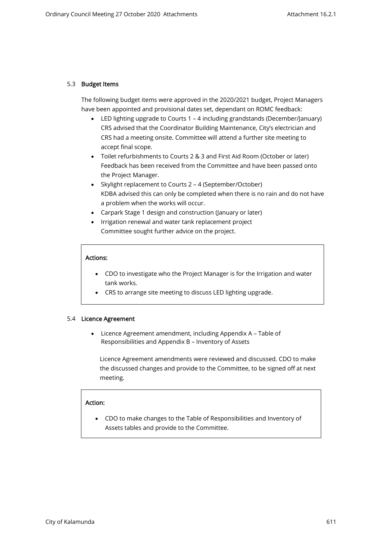#### 5.3 Budget Items

 The following budget items were approved in the 2020/2021 budget, Project Managers have been appointed and provisional dates set, dependant on ROMC feedback:

- LED lighting upgrade to Courts 1 4 including grandstands (December/January) CRS advised that the Coordinator Building Maintenance, City's electrician and CRS had a meeting onsite. Committee will attend a further site meeting to accept final scope.
- Toilet refurbishments to Courts 2 & 3 and First Aid Room (October or later) Feedback has been received from the Committee and have been passed onto the Project Manager.
- Skylight replacement to Courts 2 4 (September/October) KDBA advised this can only be completed when there is no rain and do not have a problem when the works will occur.
- Carpark Stage 1 design and construction (January or later)
- Irrigation renewal and water tank replacement project Committee sought further advice on the project.

#### Actions:

- CDO to investigate who the Project Manager is for the Irrigation and water tank works.
- CRS to arrange site meeting to discuss LED lighting upgrade.

#### 5.4 Licence Agreement

 • Licence Agreement amendment, including Appendix A – Table of Responsibilities and Appendix B – Inventory of Assets

Licence Agreement amendments were reviewed and discussed. CDO to make the discussed changes and provide to the Committee, to be signed off at next meeting.

### Action:

• CDO to make changes to the Table of Responsibilities and Inventory of Assets tables and provide to the Committee.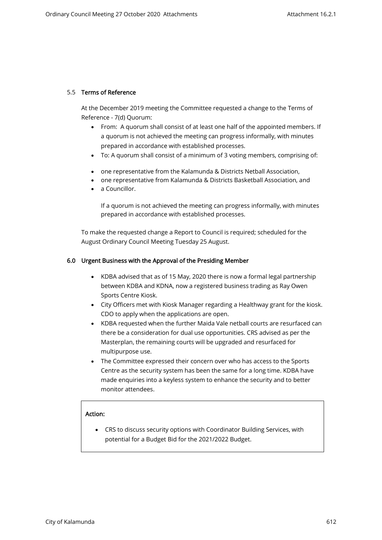#### 5.5 Terms of Reference

At the December 2019 meeting the Committee requested a change to the Terms of Reference - 7(d) Quorum:

- From: A quorum shall consist of at least one half of the appointed members. If a quorum is not achieved the meeting can progress informally, with minutes prepared in accordance with established processes.
- To: A quorum shall consist of a minimum of 3 voting members, comprising of:
- one representative from the Kalamunda & Districts Netball Association,
- one representative from Kalamunda & Districts Basketball Association, and
- a Councillor.

If a quorum is not achieved the meeting can progress informally, with minutes prepared in accordance with established processes.

To make the requested change a Report to Council is required; scheduled for the August Ordinary Council Meeting Tuesday 25 August.

### 6.0 Urgent Business with the Approval of the Presiding Member

- KDBA advised that as of 15 May, 2020 there is now a formal legal partnership between KDBA and KDNA, now a registered business trading as Ray Owen Sports Centre Kiosk.
- City Officers met with Kiosk Manager regarding a Healthway grant for the kiosk. CDO to apply when the applications are open.
- KDBA requested when the further Maida Vale netball courts are resurfaced can there be a consideration for dual use opportunities. CRS advised as per the Masterplan, the remaining courts will be upgraded and resurfaced for multipurpose use.
- The Committee expressed their concern over who has access to the Sports Centre as the security system has been the same for a long time. KDBA have made enquiries into a keyless system to enhance the security and to better monitor attendees.

### Action:

• CRS to discuss security options with Coordinator Building Services, with potential for a Budget Bid for the 2021/2022 Budget.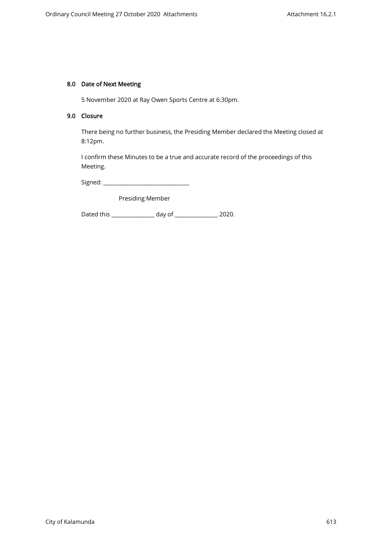## 8.0 Date of Next Meeting

5 November 2020 at Ray Owen Sports Centre at 6:30pm.

#### 9.0 Closure

There being no further business, the Presiding Member declared the Meeting closed at 8:12pm.

I confirm these Minutes to be a true and accurate record of the proceedings of this Meeting.

Signed: \_\_\_\_\_\_\_\_\_\_\_\_\_\_\_\_\_\_\_\_\_\_\_\_\_\_\_\_\_\_\_\_

Presiding Member

Dated this \_\_\_\_\_\_\_\_\_\_\_\_\_\_\_\_ day of \_\_\_\_\_\_\_\_\_\_\_\_\_\_\_\_ 2020.